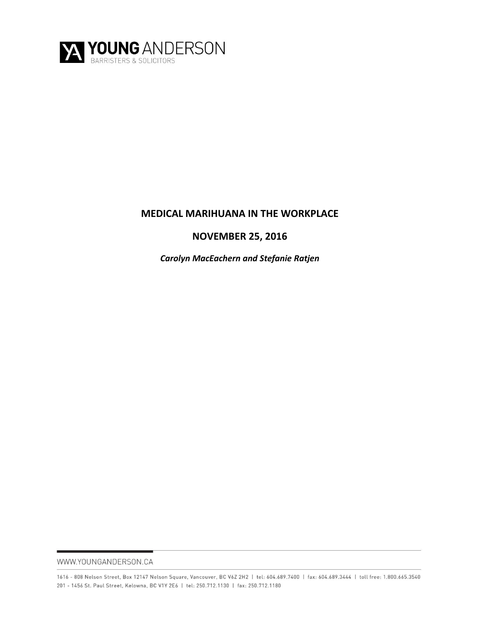

# **MEDICAL MARIHUANA IN THE WORKPLACE**

# **NOVEMBER 25, 2016**

*Carolyn MacEachern and Stefanie Ratjen*

WWW.YOUNGANDERSON.CA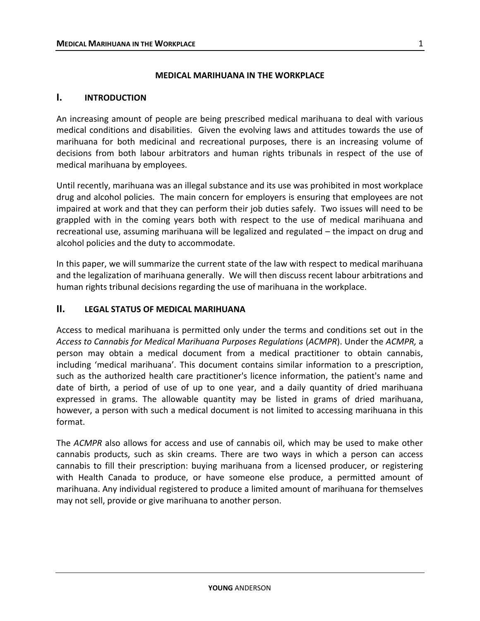### **MEDICAL MARIHUANA IN THE WORKPLACE**

#### **I. INTRODUCTION**

An increasing amount of people are being prescribed medical marihuana to deal with various medical conditions and disabilities. Given the evolving laws and attitudes towards the use of marihuana for both medicinal and recreational purposes, there is an increasing volume of decisions from both labour arbitrators and human rights tribunals in respect of the use of medical marihuana by employees.

Until recently, marihuana was an illegal substance and its use was prohibited in most workplace drug and alcohol policies. The main concern for employers is ensuring that employees are not impaired at work and that they can perform their job duties safely. Two issues will need to be grappled with in the coming years both with respect to the use of medical marihuana and recreational use, assuming marihuana will be legalized and regulated – the impact on drug and alcohol policies and the duty to accommodate.

In this paper, we will summarize the current state of the law with respect to medical marihuana and the legalization of marihuana generally. We will then discuss recent labour arbitrations and human rights tribunal decisions regarding the use of marihuana in the workplace.

### **II. LEGAL STATUS OF MEDICAL MARIHUANA**

Access to medical marihuana is permitted only under the terms and conditions set out in the *Access to Cannabis for Medical Marihuana Purposes Regulations* (*ACMPR*). Under the *ACMPR,* a person may obtain a medical document from a medical practitioner to obtain cannabis, including 'medical marihuana'. This document contains similar information to a prescription, such as the authorized health care practitioner's licence information, the patient's name and date of birth, a period of use of up to one year, and a daily quantity of dried marihuana expressed in grams. The allowable quantity may be listed in grams of dried marihuana, however, a person with such a medical document is not limited to accessing marihuana in this format.

The *ACMPR* also allows for access and use of cannabis oil, which may be used to make other cannabis products, such as skin creams. There are two ways in which a person can access cannabis to fill their prescription: buying marihuana from a licensed producer, or registering with Health Canada to produce, or have someone else produce, a permitted amount of marihuana. Any individual registered to produce a limited amount of marihuana for themselves may not sell, provide or give marihuana to another person.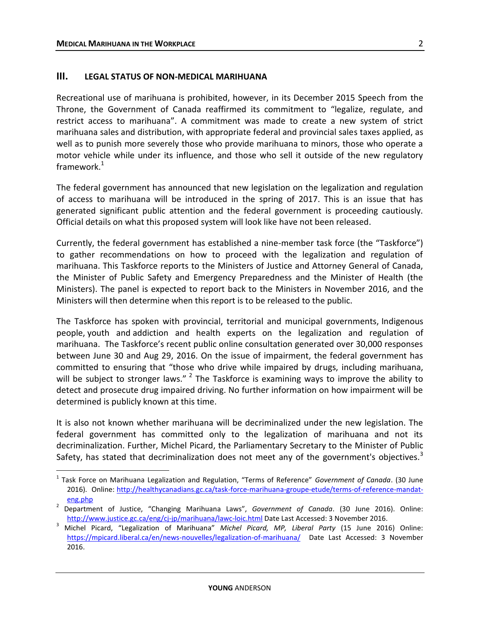$\overline{a}$ 

### **III. LEGAL STATUS OF NON-MEDICAL MARIHUANA**

Recreational use of marihuana is prohibited, however, in its December 2015 Speech from the Throne, the Government of Canada reaffirmed its commitment to "legalize, regulate, and restrict access to marihuana". A commitment was made to create a new system of strict marihuana sales and distribution, with appropriate federal and provincial sales taxes applied, as well as to punish more severely those who provide marihuana to minors, those who operate a motor vehicle while under its influence, and those who sell it outside of the new regulatory framework. $1$ 

The federal government has announced that new legislation on the legalization and regulation of access to marihuana will be introduced in the spring of 2017. This is an issue that has generated significant public attention and the federal government is proceeding cautiously. Official details on what this proposed system will look like have not been released.

Currently, the federal government has established a nine-member task force (the "Taskforce") to gather recommendations on how to proceed with the legalization and regulation of marihuana. This Taskforce reports to the Ministers of Justice and Attorney General of Canada, the Minister of Public Safety and Emergency Preparedness and the Minister of Health (the Ministers). The panel is expected to report back to the Ministers in November 2016, and the Ministers will then determine when this report is to be released to the public.

The Taskforce has spoken with provincial, territorial and municipal governments, Indigenous people, youth and addiction and health experts on the legalization and regulation of marihuana. The Taskforce's recent public online consultation generated over 30,000 responses between June 30 and Aug 29, 2016. On the issue of impairment, the federal government has committed to ensuring that "those who drive while impaired by drugs, including marihuana, will be subject to stronger laws." <sup>2</sup> The Taskforce is examining ways to improve the ability to detect and prosecute drug impaired driving. No further information on how impairment will be determined is publicly known at this time.

It is also not known whether marihuana will be decriminalized under the new legislation. The federal government has committed only to the legalization of marihuana and not its decriminalization. Further, Michel Picard, the Parliamentary Secretary to the Minister of Public Safety, has stated that decriminalization does not meet any of the government's objectives.<sup>3</sup>

<sup>&</sup>lt;sup>1</sup> Task Force on Marihuana Legalization and Regulation, "Terms of Reference" *Government of Canada*. (30 June 2016). Online: [http://healthycanadians.gc.ca/task-force-marihuana-groupe-etude/terms-of-reference-mandat](http://healthycanadians.gc.ca/task-force-marijuana-groupe-etude/terms-of-reference-mandat-eng.php)[eng.php](http://healthycanadians.gc.ca/task-force-marijuana-groupe-etude/terms-of-reference-mandat-eng.php)

<sup>2</sup> Department of Justice, "Changing Marihuana Laws", *Government of Canada*. (30 June 2016). Online: [http://www.justice.gc.ca/eng/cj-jp/marihuana/lawc-loic.html](http://www.justice.gc.ca/eng/cj-jp/marijuana/lawc-loic.html) Date Last Accessed: 3 November 2016.

<sup>3</sup> Michel Picard, "Legalization of Marihuana" *Michel Picard, MP, Liberal Party* (15 June 2016) Online: [https://mpicard.liberal.ca/en/news-nouvelles/legalization-of-marihuana/](https://mpicard.liberal.ca/en/news-nouvelles/legalization-of-marijuana/) Date Last Accessed: 3 November 2016.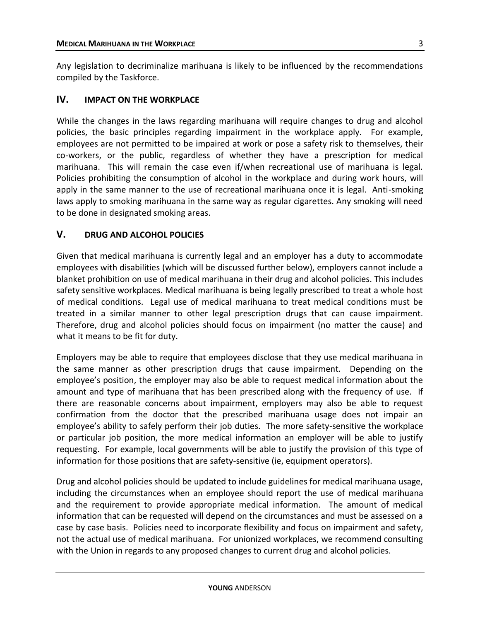Any legislation to decriminalize marihuana is likely to be influenced by the recommendations compiled by the Taskforce.

## **IV. IMPACT ON THE WORKPLACE**

While the changes in the laws regarding marihuana will require changes to drug and alcohol policies, the basic principles regarding impairment in the workplace apply. For example, employees are not permitted to be impaired at work or pose a safety risk to themselves, their co-workers, or the public, regardless of whether they have a prescription for medical marihuana. This will remain the case even if/when recreational use of marihuana is legal. Policies prohibiting the consumption of alcohol in the workplace and during work hours, will apply in the same manner to the use of recreational marihuana once it is legal. Anti-smoking laws apply to smoking marihuana in the same way as regular cigarettes. Any smoking will need to be done in designated smoking areas.

### **V. DRUG AND ALCOHOL POLICIES**

Given that medical marihuana is currently legal and an employer has a duty to accommodate employees with disabilities (which will be discussed further below), employers cannot include a blanket prohibition on use of medical marihuana in their drug and alcohol policies. This includes safety sensitive workplaces. Medical marihuana is being legally prescribed to treat a whole host of medical conditions. Legal use of medical marihuana to treat medical conditions must be treated in a similar manner to other legal prescription drugs that can cause impairment. Therefore, drug and alcohol policies should focus on impairment (no matter the cause) and what it means to be fit for duty.

Employers may be able to require that employees disclose that they use medical marihuana in the same manner as other prescription drugs that cause impairment. Depending on the employee's position, the employer may also be able to request medical information about the amount and type of marihuana that has been prescribed along with the frequency of use. If there are reasonable concerns about impairment, employers may also be able to request confirmation from the doctor that the prescribed marihuana usage does not impair an employee's ability to safely perform their job duties. The more safety-sensitive the workplace or particular job position, the more medical information an employer will be able to justify requesting. For example, local governments will be able to justify the provision of this type of information for those positions that are safety-sensitive (ie, equipment operators).

Drug and alcohol policies should be updated to include guidelines for medical marihuana usage, including the circumstances when an employee should report the use of medical marihuana and the requirement to provide appropriate medical information. The amount of medical information that can be requested will depend on the circumstances and must be assessed on a case by case basis. Policies need to incorporate flexibility and focus on impairment and safety, not the actual use of medical marihuana. For unionized workplaces, we recommend consulting with the Union in regards to any proposed changes to current drug and alcohol policies.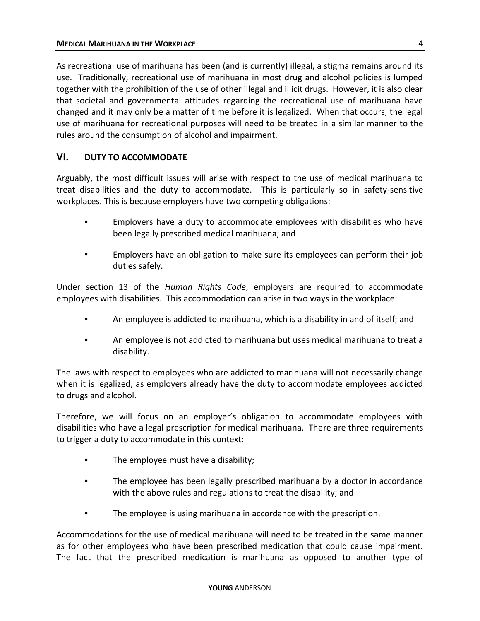As recreational use of marihuana has been (and is currently) illegal, a stigma remains around its use. Traditionally, recreational use of marihuana in most drug and alcohol policies is lumped together with the prohibition of the use of other illegal and illicit drugs. However, it is also clear that societal and governmental attitudes regarding the recreational use of marihuana have changed and it may only be a matter of time before it is legalized. When that occurs, the legal use of marihuana for recreational purposes will need to be treated in a similar manner to the rules around the consumption of alcohol and impairment.

## **VI. DUTY TO ACCOMMODATE**

Arguably, the most difficult issues will arise with respect to the use of medical marihuana to treat disabilities and the duty to accommodate. This is particularly so in safety-sensitive workplaces. This is because employers have two competing obligations:

- Employers have a duty to accommodate employees with disabilities who have been legally prescribed medical marihuana; and
- Employers have an obligation to make sure its employees can perform their job duties safely.

Under section 13 of the *Human Rights Code*, employers are required to accommodate employees with disabilities. This accommodation can arise in two ways in the workplace:

- An employee is addicted to marihuana, which is a disability in and of itself; and
- An employee is not addicted to marihuana but uses medical marihuana to treat a disability.

The laws with respect to employees who are addicted to marihuana will not necessarily change when it is legalized, as employers already have the duty to accommodate employees addicted to drugs and alcohol.

Therefore, we will focus on an employer's obligation to accommodate employees with disabilities who have a legal prescription for medical marihuana. There are three requirements to trigger a duty to accommodate in this context:

- The employee must have a disability;
- The employee has been legally prescribed marihuana by a doctor in accordance with the above rules and regulations to treat the disability; and
- The employee is using marihuana in accordance with the prescription.

Accommodations for the use of medical marihuana will need to be treated in the same manner as for other employees who have been prescribed medication that could cause impairment. The fact that the prescribed medication is marihuana as opposed to another type of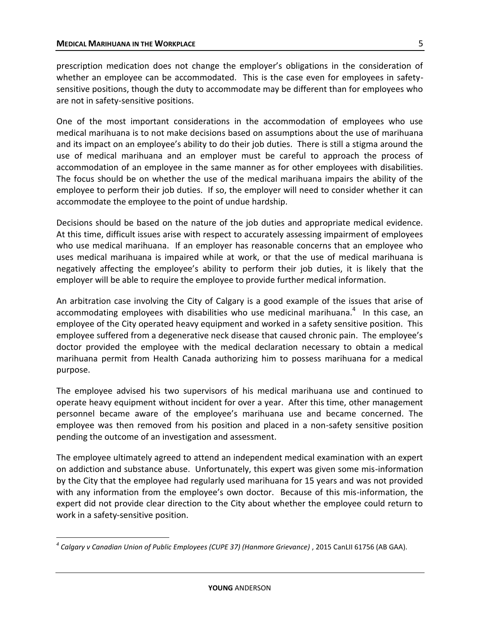prescription medication does not change the employer's obligations in the consideration of whether an employee can be accommodated. This is the case even for employees in safetysensitive positions, though the duty to accommodate may be different than for employees who are not in safety-sensitive positions.

One of the most important considerations in the accommodation of employees who use medical marihuana is to not make decisions based on assumptions about the use of marihuana and its impact on an employee's ability to do their job duties. There is still a stigma around the use of medical marihuana and an employer must be careful to approach the process of accommodation of an employee in the same manner as for other employees with disabilities. The focus should be on whether the use of the medical marihuana impairs the ability of the employee to perform their job duties. If so, the employer will need to consider whether it can accommodate the employee to the point of undue hardship.

Decisions should be based on the nature of the job duties and appropriate medical evidence. At this time, difficult issues arise with respect to accurately assessing impairment of employees who use medical marihuana. If an employer has reasonable concerns that an employee who uses medical marihuana is impaired while at work, or that the use of medical marihuana is negatively affecting the employee's ability to perform their job duties, it is likely that the employer will be able to require the employee to provide further medical information.

An arbitration case involving the City of Calgary is a good example of the issues that arise of accommodating employees with disabilities who use medicinal marihuana. $4\;$  In this case, an employee of the City operated heavy equipment and worked in a safety sensitive position. This employee suffered from a degenerative neck disease that caused chronic pain. The employee's doctor provided the employee with the medical declaration necessary to obtain a medical marihuana permit from Health Canada authorizing him to possess marihuana for a medical purpose.

The employee advised his two supervisors of his medical marihuana use and continued to operate heavy equipment without incident for over a year. After this time, other management personnel became aware of the employee's marihuana use and became concerned. The employee was then removed from his position and placed in a non-safety sensitive position pending the outcome of an investigation and assessment.

The employee ultimately agreed to attend an independent medical examination with an expert on addiction and substance abuse. Unfortunately, this expert was given some mis-information by the City that the employee had regularly used marihuana for 15 years and was not provided with any information from the employee's own doctor. Because of this mis-information, the expert did not provide clear direction to the City about whether the employee could return to work in a safety-sensitive position.

 $\overline{a}$ *4 Calgary v Canadian Union of Public Employees (CUPE 37) (Hanmore Grievance)* , 2015 CanLII 61756 (AB GAA).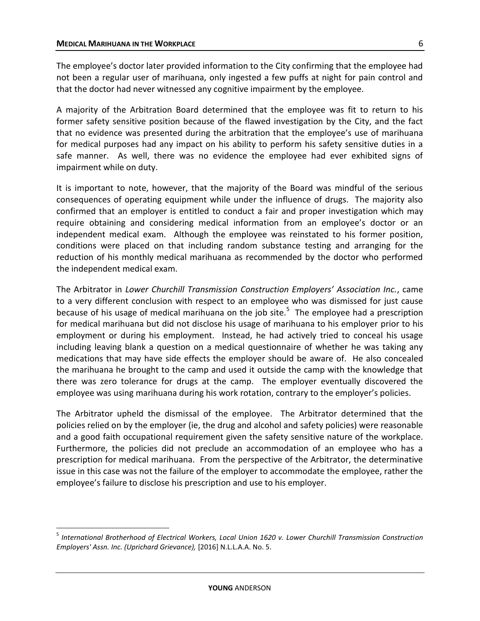$\overline{a}$ 

The employee's doctor later provided information to the City confirming that the employee had not been a regular user of marihuana, only ingested a few puffs at night for pain control and that the doctor had never witnessed any cognitive impairment by the employee.

A majority of the Arbitration Board determined that the employee was fit to return to his former safety sensitive position because of the flawed investigation by the City, and the fact that no evidence was presented during the arbitration that the employee's use of marihuana for medical purposes had any impact on his ability to perform his safety sensitive duties in a safe manner. As well, there was no evidence the employee had ever exhibited signs of impairment while on duty.

It is important to note, however, that the majority of the Board was mindful of the serious consequences of operating equipment while under the influence of drugs. The majority also confirmed that an employer is entitled to conduct a fair and proper investigation which may require obtaining and considering medical information from an employee's doctor or an independent medical exam. Although the employee was reinstated to his former position, conditions were placed on that including random substance testing and arranging for the reduction of his monthly medical marihuana as recommended by the doctor who performed the independent medical exam.

The Arbitrator in *Lower Churchill Transmission Construction Employers' Association Inc.*, came to a very different conclusion with respect to an employee who was dismissed for just cause because of his usage of medical marihuana on the job site.<sup>5</sup> The employee had a prescription for medical marihuana but did not disclose his usage of marihuana to his employer prior to his employment or during his employment. Instead, he had actively tried to conceal his usage including leaving blank a question on a medical questionnaire of whether he was taking any medications that may have side effects the employer should be aware of. He also concealed the marihuana he brought to the camp and used it outside the camp with the knowledge that there was zero tolerance for drugs at the camp. The employer eventually discovered the employee was using marihuana during his work rotation, contrary to the employer's policies.

The Arbitrator upheld the dismissal of the employee. The Arbitrator determined that the policies relied on by the employer (ie, the drug and alcohol and safety policies) were reasonable and a good faith occupational requirement given the safety sensitive nature of the workplace. Furthermore, the policies did not preclude an accommodation of an employee who has a prescription for medical marihuana. From the perspective of the Arbitrator, the determinative issue in this case was not the failure of the employer to accommodate the employee, rather the employee's failure to disclose his prescription and use to his employer.

<sup>&</sup>lt;sup>5</sup> International Brotherhood of Electrical Workers, Local Union 1620 v. Lower Churchill Transmission Construction *Employers' Assn. Inc. (Uprichard Grievance),* [2016] N.L.L.A.A. No. 5.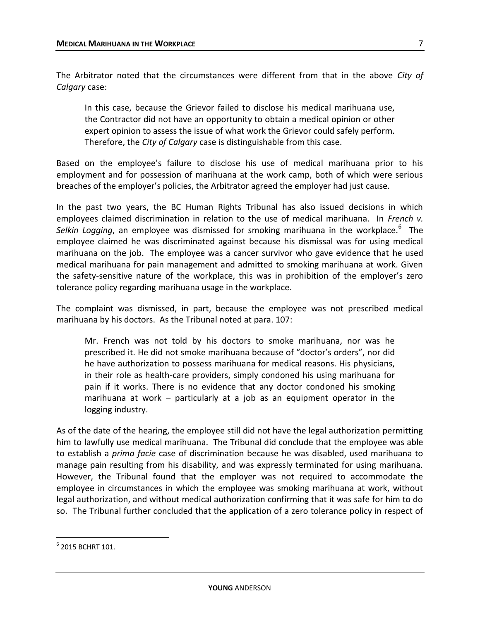The Arbitrator noted that the circumstances were different from that in the above *City of Calgary* case:

In this case, because the Grievor failed to disclose his medical marihuana use, the Contractor did not have an opportunity to obtain a medical opinion or other expert opinion to assess the issue of what work the Grievor could safely perform. Therefore, the *City of Calgary* case is distinguishable from this case.

Based on the employee's failure to disclose his use of medical marihuana prior to his employment and for possession of marihuana at the work camp, both of which were serious breaches of the employer's policies, the Arbitrator agreed the employer had just cause.

In the past two years, the BC Human Rights Tribunal has also issued decisions in which employees claimed discrimination in relation to the use of medical marihuana. In *French v.*  Selkin Logging, an employee was dismissed for smoking marihuana in the workplace.<sup>6</sup> The employee claimed he was discriminated against because his dismissal was for using medical marihuana on the job. The employee was a cancer survivor who gave evidence that he used medical marihuana for pain management and admitted to smoking marihuana at work. Given the safety-sensitive nature of the workplace, this was in prohibition of the employer's zero tolerance policy regarding marihuana usage in the workplace.

The complaint was dismissed, in part, because the employee was not prescribed medical marihuana by his doctors. As the Tribunal noted at para. 107:

Mr. French was not told by his doctors to smoke marihuana, nor was he prescribed it. He did not smoke marihuana because of "doctor's orders", nor did he have authorization to possess marihuana for medical reasons. His physicians, in their role as health-care providers, simply condoned his using marihuana for pain if it works. There is no evidence that any doctor condoned his smoking marihuana at work – particularly at a job as an equipment operator in the logging industry.

As of the date of the hearing, the employee still did not have the legal authorization permitting him to lawfully use medical marihuana. The Tribunal did conclude that the employee was able to establish a *prima facie* case of discrimination because he was disabled, used marihuana to manage pain resulting from his disability, and was expressly terminated for using marihuana. However, the Tribunal found that the employer was not required to accommodate the employee in circumstances in which the employee was smoking marihuana at work, without legal authorization, and without medical authorization confirming that it was safe for him to do so. The Tribunal further concluded that the application of a zero tolerance policy in respect of

 $\overline{a}$ 

 $^6$  2015 BCHRT 101.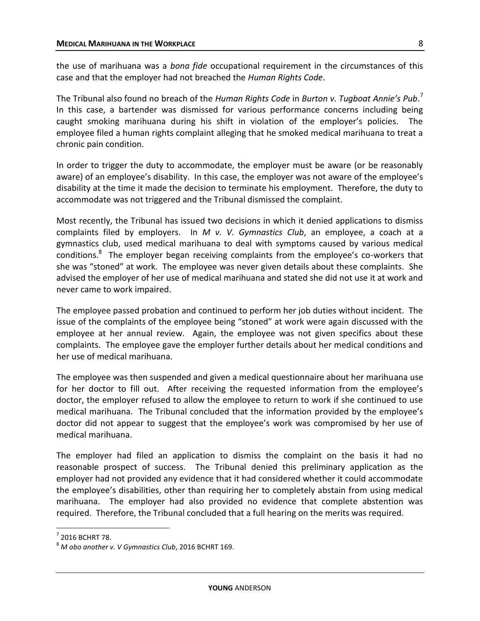the use of marihuana was a *bona fide* occupational requirement in the circumstances of this case and that the employer had not breached the *Human Rights Code*.

The Tribunal also found no breach of the *Human Rights Code* in *Burton v. Tugboat Annie's Pub*. 7 In this case, a bartender was dismissed for various performance concerns including being caught smoking marihuana during his shift in violation of the employer's policies. The employee filed a human rights complaint alleging that he smoked medical marihuana to treat a chronic pain condition.

In order to trigger the duty to accommodate, the employer must be aware (or be reasonably aware) of an employee's disability. In this case, the employer was not aware of the employee's disability at the time it made the decision to terminate his employment. Therefore, the duty to accommodate was not triggered and the Tribunal dismissed the complaint.

Most recently, the Tribunal has issued two decisions in which it denied applications to dismiss complaints filed by employers. In *M v. V. Gymnastics Club*, an employee, a coach at a gymnastics club, used medical marihuana to deal with symptoms caused by various medical conditions.<sup>8</sup> The employer began receiving complaints from the employee's co-workers that she was "stoned" at work. The employee was never given details about these complaints. She advised the employer of her use of medical marihuana and stated she did not use it at work and never came to work impaired.

The employee passed probation and continued to perform her job duties without incident. The issue of the complaints of the employee being "stoned" at work were again discussed with the employee at her annual review. Again, the employee was not given specifics about these complaints. The employee gave the employer further details about her medical conditions and her use of medical marihuana.

The employee was then suspended and given a medical questionnaire about her marihuana use for her doctor to fill out. After receiving the requested information from the employee's doctor, the employer refused to allow the employee to return to work if she continued to use medical marihuana. The Tribunal concluded that the information provided by the employee's doctor did not appear to suggest that the employee's work was compromised by her use of medical marihuana.

The employer had filed an application to dismiss the complaint on the basis it had no reasonable prospect of success. The Tribunal denied this preliminary application as the employer had not provided any evidence that it had considered whether it could accommodate the employee's disabilities, other than requiring her to completely abstain from using medical marihuana. The employer had also provided no evidence that complete abstention was required. Therefore, the Tribunal concluded that a full hearing on the merits was required.

 $\overline{a}$ 

 $<sup>7</sup>$  2016 BCHRT 78.</sup>

<sup>8</sup> *M obo another v. V Gymnastics Club*, 2016 BCHRT 169.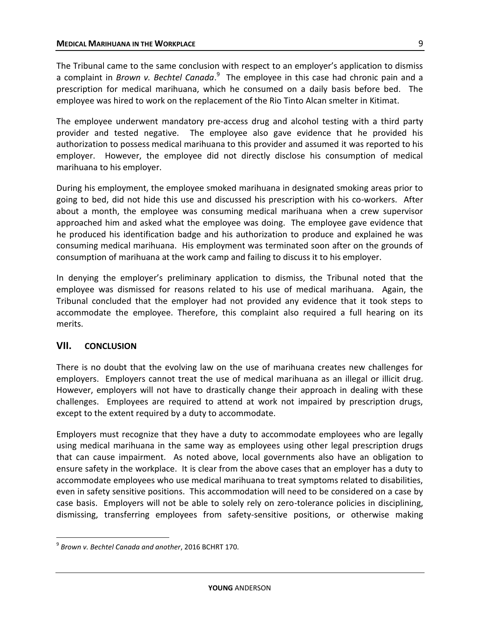The Tribunal came to the same conclusion with respect to an employer's application to dismiss a complaint in *Brown v. Bechtel Canada*.<sup>9</sup> The employee in this case had chronic pain and a prescription for medical marihuana, which he consumed on a daily basis before bed. The employee was hired to work on the replacement of the Rio Tinto Alcan smelter in Kitimat.

The employee underwent mandatory pre-access drug and alcohol testing with a third party provider and tested negative. The employee also gave evidence that he provided his authorization to possess medical marihuana to this provider and assumed it was reported to his employer. However, the employee did not directly disclose his consumption of medical marihuana to his employer.

During his employment, the employee smoked marihuana in designated smoking areas prior to going to bed, did not hide this use and discussed his prescription with his co-workers. After about a month, the employee was consuming medical marihuana when a crew supervisor approached him and asked what the employee was doing. The employee gave evidence that he produced his identification badge and his authorization to produce and explained he was consuming medical marihuana. His employment was terminated soon after on the grounds of consumption of marihuana at the work camp and failing to discuss it to his employer.

In denying the employer's preliminary application to dismiss, the Tribunal noted that the employee was dismissed for reasons related to his use of medical marihuana. Again, the Tribunal concluded that the employer had not provided any evidence that it took steps to accommodate the employee. Therefore, this complaint also required a full hearing on its merits.

## **VII. CONCLUSION**

 $\overline{a}$ 

There is no doubt that the evolving law on the use of marihuana creates new challenges for employers. Employers cannot treat the use of medical marihuana as an illegal or illicit drug. However, employers will not have to drastically change their approach in dealing with these challenges. Employees are required to attend at work not impaired by prescription drugs, except to the extent required by a duty to accommodate.

Employers must recognize that they have a duty to accommodate employees who are legally using medical marihuana in the same way as employees using other legal prescription drugs that can cause impairment. As noted above, local governments also have an obligation to ensure safety in the workplace. It is clear from the above cases that an employer has a duty to accommodate employees who use medical marihuana to treat symptoms related to disabilities, even in safety sensitive positions. This accommodation will need to be considered on a case by case basis. Employers will not be able to solely rely on zero-tolerance policies in disciplining, dismissing, transferring employees from safety-sensitive positions, or otherwise making

<sup>9</sup> *Brown v. Bechtel Canada and another*, 2016 BCHRT 170.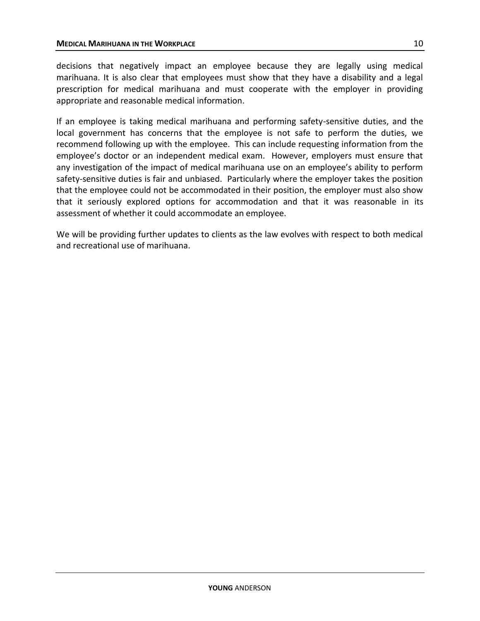decisions that negatively impact an employee because they are legally using medical marihuana. It is also clear that employees must show that they have a disability and a legal prescription for medical marihuana and must cooperate with the employer in providing appropriate and reasonable medical information.

If an employee is taking medical marihuana and performing safety-sensitive duties, and the local government has concerns that the employee is not safe to perform the duties, we recommend following up with the employee. This can include requesting information from the employee's doctor or an independent medical exam. However, employers must ensure that any investigation of the impact of medical marihuana use on an employee's ability to perform safety-sensitive duties is fair and unbiased. Particularly where the employer takes the position that the employee could not be accommodated in their position, the employer must also show that it seriously explored options for accommodation and that it was reasonable in its assessment of whether it could accommodate an employee.

We will be providing further updates to clients as the law evolves with respect to both medical and recreational use of marihuana.